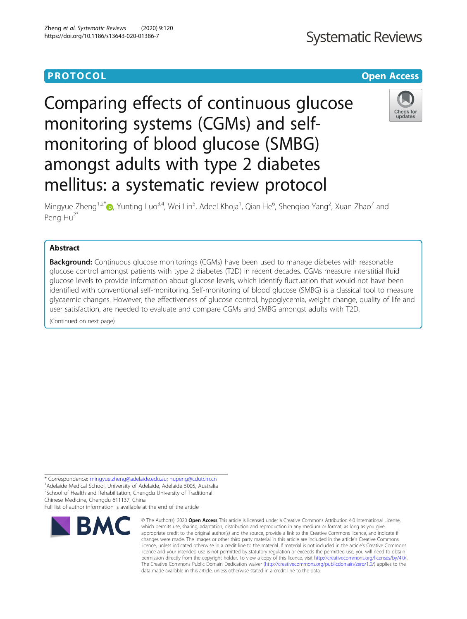# **Systematic Reviews**

## **PROTOCOL CONSUMING THE CONSUMING TEACHER CONSUMING THE CONSUMING TEACHER CONSUMING THE CONSUMING TEACHER CONSUMING**

# Comparing effects of continuous glucose monitoring systems (CGMs) and selfmonitoring of blood glucose (SMBG) amongst adults with type 2 diabetes mellitus: a systematic review protocol



Mingyue Zheng<sup>1,2[\\*](http://orcid.org/0000-0002-7946-8911)</sup>®, Yunting Luo<sup>3,4</sup>, Wei Lin<sup>5</sup>, Adeel Khoja<sup>1</sup>, Qian He<sup>6</sup>, Shenqiao Yang<sup>2</sup>, Xuan Zhao<sup>7</sup> and Peng Hu<sup>2\*</sup>

### Abstract

**Background:** Continuous glucose monitorings (CGMs) have been used to manage diabetes with reasonable glucose control amongst patients with type 2 diabetes (T2D) in recent decades. CGMs measure interstitial fluid glucose levels to provide information about glucose levels, which identify fluctuation that would not have been identified with conventional self-monitoring. Self-monitoring of blood glucose (SMBG) is a classical tool to measure glycaemic changes. However, the effectiveness of glucose control, hypoglycemia, weight change, quality of life and user satisfaction, are needed to evaluate and compare CGMs and SMBG amongst adults with T2D.

(Continued on next page)

\* Correspondence: [mingyue.zheng@adelaide.edu.au;](mailto:mingyue.zheng@adelaide.edu.au) [hupeng@cdutcm.cn](mailto:hupeng@cdutcm.cn) <sup>1</sup> <sup>1</sup>Adelaide Medical School, University of Adelaide, Adelaide 5005, Australia

<sup>2</sup>School of Health and Rehabilitation, Chengdu University of Traditional Chinese Medicine, Chengdu 611137, China

Full list of author information is available at the end of the article



<sup>©</sup> The Author(s), 2020 **Open Access** This article is licensed under a Creative Commons Attribution 4.0 International License, which permits use, sharing, adaptation, distribution and reproduction in any medium or format, as long as you give appropriate credit to the original author(s) and the source, provide a link to the Creative Commons licence, and indicate if changes were made. The images or other third party material in this article are included in the article's Creative Commons licence, unless indicated otherwise in a credit line to the material. If material is not included in the article's Creative Commons licence and your intended use is not permitted by statutory regulation or exceeds the permitted use, you will need to obtain permission directly from the copyright holder. To view a copy of this licence, visit [http://creativecommons.org/licenses/by/4.0/.](http://creativecommons.org/licenses/by/4.0/) The Creative Commons Public Domain Dedication waiver [\(http://creativecommons.org/publicdomain/zero/1.0/](http://creativecommons.org/publicdomain/zero/1.0/)) applies to the data made available in this article, unless otherwise stated in a credit line to the data.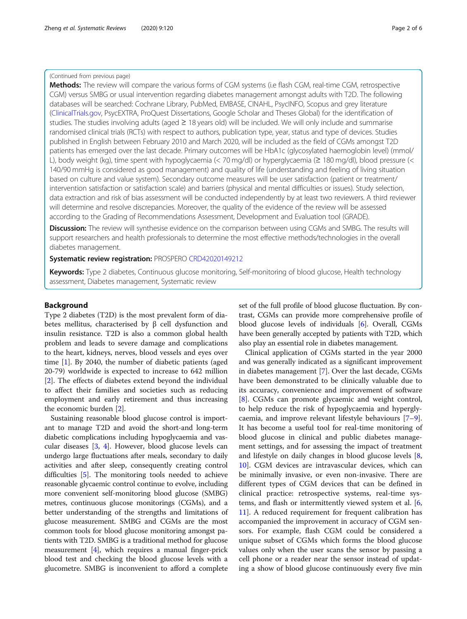#### (Continued from previous page)

Methods: The review will compare the various forms of CGM systems (i.e flash CGM, real-time CGM, retrospective CGM) versus SMBG or usual intervention regarding diabetes management amongst adults with T2D. The following databases will be searched: Cochrane Library, PubMed, EMBASE, CINAHL, PsycINFO, Scopus and grey literature ([ClinicalTrials.gov,](http://clinicaltrials.gov) PsycEXTRA, ProQuest Dissertations, Google Scholar and Theses Global) for the identification of studies. The studies involving adults (aged ≥ 18 years old) will be included. We will only include and summarise randomised clinical trials (RCTs) with respect to authors, publication type, year, status and type of devices. Studies published in English between February 2010 and March 2020, will be included as the field of CGMs amongst T2D patients has emerged over the last decade. Primary outcomes will be HbA1c (glycosylated haemoglobin level) (mmol/ L), body weight (kg), time spent with hypoglycaemia (< 70 mg/dl) or hyperglycaemia (≥ 180 mg/dl), blood pressure (< 140/90 mmHg is considered as good management) and quality of life (understanding and feeling of living situation based on culture and value system). Secondary outcome measures will be user satisfaction (patient or treatment/ intervention satisfaction or satisfaction scale) and barriers (physical and mental difficulties or issues). Study selection, data extraction and risk of bias assessment will be conducted independently by at least two reviewers. A third reviewer will determine and resolve discrepancies. Moreover, the quality of the evidence of the review will be assessed according to the Grading of Recommendations Assessment, Development and Evaluation tool (GRADE).

**Discussion:** The review will synthesise evidence on the comparison between using CGMs and SMBG. The results will support researchers and health professionals to determine the most effective methods/technologies in the overall diabetes management.

### Systematic review registration: PROSPERO [CRD42020149212](https://drive.google.com/file/d/1aFkvpwXKJo02l8O2V2UeVNl7XCcpJJhJ/view?usp=sharing)

Keywords: Type 2 diabetes, Continuous glucose monitoring, Self-monitoring of blood glucose, Health technology assessment, Diabetes management, Systematic review

#### Background

Type 2 diabetes (T2D) is the most prevalent form of diabetes mellitus, characterised by  $β$  cell dysfunction and insulin resistance. T2D is also a common global health problem and leads to severe damage and complications to the heart, kidneys, nerves, blood vessels and eyes over time [[1\]](#page-5-0). By 2040, the number of diabetic patients (aged 20-79) worldwide is expected to increase to 642 million [[2\]](#page-5-0). The effects of diabetes extend beyond the individual to affect their families and societies such as reducing employment and early retirement and thus increasing the economic burden [\[2](#page-5-0)].

Sustaining reasonable blood glucose control is important to manage T2D and avoid the short-and long-term diabetic complications including hypoglycaemia and vascular diseases [\[3](#page-5-0), [4\]](#page-5-0). However, blood glucose levels can undergo large fluctuations after meals, secondary to daily activities and after sleep, consequently creating control difficulties [[5](#page-5-0)]. The monitoring tools needed to achieve reasonable glycaemic control continue to evolve, including more convenient self-monitoring blood glucose (SMBG) metres, continuous glucose monitorings (CGMs), and a better understanding of the strengths and limitations of glucose measurement. SMBG and CGMs are the most common tools for blood glucose monitoring amongst patients with T2D. SMBG is a traditional method for glucose measurement [\[4\]](#page-5-0), which requires a manual finger-prick blood test and checking the blood glucose levels with a glucometre. SMBG is inconvenient to afford a complete

set of the full profile of blood glucose fluctuation. By contrast, CGMs can provide more comprehensive profile of blood glucose levels of individuals [\[6\]](#page-5-0). Overall, CGMs have been generally accepted by patients with T2D, which also play an essential role in diabetes management.

Clinical application of CGMs started in the year 2000 and was generally indicated as a significant improvement in diabetes management [\[7](#page-5-0)]. Over the last decade, CGMs have been demonstrated to be clinically valuable due to its accuracy, convenience and improvement of software [[8\]](#page-5-0). CGMs can promote glycaemic and weight control, to help reduce the risk of hypoglycaemia and hyperglycaemia, and improve relevant lifestyle behaviours [\[7](#page-5-0)–[9](#page-5-0)]. It has become a useful tool for real-time monitoring of blood glucose in clinical and public diabetes management settings, and for assessing the impact of treatment and lifestyle on daily changes in blood glucose levels [\[8](#page-5-0), [10\]](#page-5-0). CGM devices are intravascular devices, which can be minimally invasive, or even non-invasive. There are different types of CGM devices that can be defined in clinical practice: retrospective systems, real-time systems, and flash or intermittently viewed system et al. [\[6](#page-5-0), [11\]](#page-5-0). A reduced requirement for frequent calibration has accompanied the improvement in accuracy of CGM sensors. For example, flash CGM could be considered a unique subset of CGMs which forms the blood glucose values only when the user scans the sensor by passing a cell phone or a reader near the sensor instead of updating a show of blood glucose continuously every five min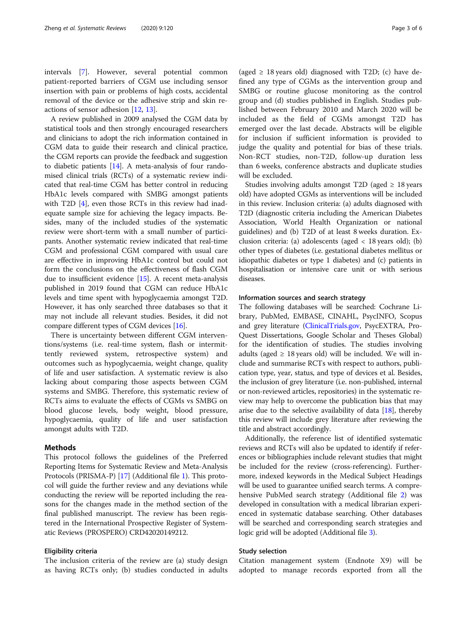intervals [[7\]](#page-5-0). However, several potential common patient-reported barriers of CGM use including sensor insertion with pain or problems of high costs, accidental removal of the device or the adhesive strip and skin reactions of sensor adhesion [[12,](#page-5-0) [13\]](#page-5-0).

A review published in 2009 analysed the CGM data by statistical tools and then strongly encouraged researchers and clinicians to adopt the rich information contained in CGM data to guide their research and clinical practice, the CGM reports can provide the feedback and suggestion to diabetic patients [[14\]](#page-5-0). A meta-analysis of four randomised clinical trials (RCTs) of a systematic review indicated that real-time CGM has better control in reducing HbA1c levels compared with SMBG amongst patients with T2D [\[4](#page-5-0)], even those RCTs in this review had inadequate sample size for achieving the legacy impacts. Besides, many of the included studies of the systematic review were short-term with a small number of participants. Another systematic review indicated that real-time CGM and professional CGM compared with usual care are effective in improving HbA1c control but could not form the conclusions on the effectiveness of flash CGM due to insufficient evidence [[15](#page-5-0)]. A recent meta-analysis published in 2019 found that CGM can reduce HbA1c levels and time spent with hypoglycaemia amongst T2D. However, it has only searched three databases so that it may not include all relevant studies. Besides, it did not compare different types of CGM devices [[16](#page-5-0)].

There is uncertainty between different CGM interventions/systems (i.e. real-time system, flash or intermittently reviewed system, retrospective system) and outcomes such as hypoglycaemia, weight change, quality of life and user satisfaction. A systematic review is also lacking about comparing those aspects between CGM systems and SMBG. Therefore, this systematic review of RCTs aims to evaluate the effects of CGMs vs SMBG on blood glucose levels, body weight, blood pressure, hypoglycaemia, quality of life and user satisfaction amongst adults with T2D.

#### Methods

This protocol follows the guidelines of the Preferred Reporting Items for Systematic Review and Meta-Analysis Protocols (PRISMA-P) [\[17](#page-5-0)] (Additional file [1\)](#page-4-0). This protocol will guide the further review and any deviations while conducting the review will be reported including the reasons for the changes made in the method section of the final published manuscript. The review has been registered in the International Prospective Register of Systematic Reviews (PROSPERO) CRD42020149212.

#### Eligibility criteria

The inclusion criteria of the review are (a) study design as having RCTs only; (b) studies conducted in adults

(aged  $\geq$  18 years old) diagnosed with T2D; (c) have defined any type of CGMs as the intervention group and SMBG or routine glucose monitoring as the control group and (d) studies published in English. Studies published between February 2010 and March 2020 will be included as the field of CGMs amongst T2D has emerged over the last decade. Abstracts will be eligible for inclusion if sufficient information is provided to judge the quality and potential for bias of these trials. Non-RCT studies, non-T2D, follow-up duration less than 6 weeks, conference abstracts and duplicate studies will be excluded.

Studies involving adults amongst T2D (aged  $\geq$  18 years old) have adopted CGMs as interventions will be included in this review. Inclusion criteria: (a) adults diagnosed with T2D (diagnostic criteria including the American Diabetes Association, World Health Organization or national guidelines) and (b) T2D of at least 8 weeks duration. Exclusion criteria: (a) adolescents (aged < 18 years old); (b) other types of diabetes (i.e. gestational diabetes mellitus or idiopathic diabetes or type 1 diabetes) and (c) patients in hospitalisation or intensive care unit or with serious diseases.

#### Information sources and search strategy

The following databases will be searched: Cochrane Library, PubMed, EMBASE, CINAHL, PsycINFO, Scopus and grey literature [\(ClinicalTrials.gov,](http://clinicaltrials.gov) PsycEXTRA, Pro-Quest Dissertations, Google Scholar and Theses Global) for the identification of studies. The studies involving adults (aged  $\geq$  18 years old) will be included. We will include and summarise RCTs with respect to authors, publication type, year, status, and type of devices et al. Besides, the inclusion of grey literature (i.e. non-published, internal or non-reviewed articles, repositories) in the systematic review may help to overcome the publication bias that may arise due to the selective availability of data  $[18]$ , thereby this review will include grey literature after reviewing the title and abstract accordingly.

Additionally, the reference list of identified systematic reviews and RCTs will also be updated to identify if references or bibliographies include relevant studies that might be included for the review (cross-referencing). Furthermore, indexed keywords in the Medical Subject Headings will be used to guarantee unified search terms. A comprehensive PubMed search strategy (Additional file [2\)](#page-4-0) was developed in consultation with a medical librarian experienced in systematic database searching. Other databases will be searched and corresponding search strategies and logic grid will be adopted (Additional file [3\)](#page-4-0).

#### Study selection

Citation management system (Endnote X9) will be adopted to manage records exported from all the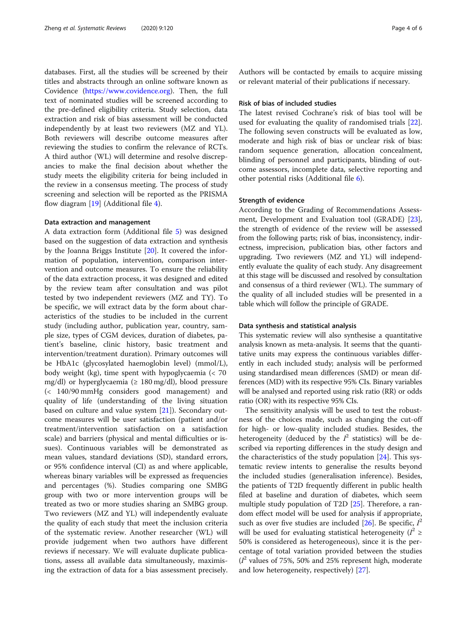databases. First, all the studies will be screened by their titles and abstracts through an online software known as Covidence (<https://www.covidence.org>). Then, the full text of nominated studies will be screened according to the pre-defined eligibility criteria. Study selection, data extraction and risk of bias assessment will be conducted independently by at least two reviewers (MZ and YL). Both reviewers will describe outcome measures after reviewing the studies to confirm the relevance of RCTs. A third author (WL) will determine and resolve discrepancies to make the final decision about whether the study meets the eligibility criteria for being included in the review in a consensus meeting. The process of study screening and selection will be reported as the PRISMA flow diagram [\[19](#page-5-0)] (Additional file [4\)](#page-4-0).

#### Data extraction and management

A data extraction form (Additional file [5\)](#page-4-0) was designed based on the suggestion of data extraction and synthesis by the Joanna Briggs Institute [\[20\]](#page-5-0). It covered the information of population, intervention, comparison intervention and outcome measures. To ensure the reliability of the data extraction process, it was designed and edited by the review team after consultation and was pilot tested by two independent reviewers (MZ and TY). To be specific, we will extract data by the form about characteristics of the studies to be included in the current study (including author, publication year, country, sample size, types of CGM devices, duration of diabetes, patient's baseline, clinic history, basic treatment and intervention/treatment duration). Primary outcomes will be HbA1c (glycosylated haemoglobin level) (mmol/L), body weight (kg), time spent with hypoglycaemia (< 70 mg/dl) or hyperglycaemia (≥ 180 mg/dl), blood pressure (< 140/90 mmHg considers good management) and quality of life (understanding of the living situation based on culture and value system [\[21](#page-5-0)]). Secondary outcome measures will be user satisfaction (patient and/or treatment/intervention satisfaction on a satisfaction scale) and barriers (physical and mental difficulties or issues). Continuous variables will be demonstrated as mean values, standard deviations (SD), standard errors, or 95% confidence interval (CI) as and where applicable, whereas binary variables will be expressed as frequencies and percentages (%). Studies comparing one SMBG group with two or more intervention groups will be treated as two or more studies sharing an SMBG group. Two reviewers (MZ and YL) will independently evaluate the quality of each study that meet the inclusion criteria of the systematic review. Another researcher (WL) will provide judgement when two authors have different reviews if necessary. We will evaluate duplicate publications, assess all available data simultaneously, maximising the extraction of data for a bias assessment precisely. Authors will be contacted by emails to acquire missing or relevant material of their publications if necessary.

### Risk of bias of included studies

The latest revised Cochrane's risk of bias tool will be used for evaluating the quality of randomised trials [\[22](#page-5-0)]. The following seven constructs will be evaluated as low, moderate and high risk of bias or unclear risk of bias: random sequence generation, allocation concealment, blinding of personnel and participants, blinding of outcome assessors, incomplete data, selective reporting and other potential risks (Additional file [6](#page-4-0)).

#### Strength of evidence

According to the Grading of Recommendations Assessment, Development and Evaluation tool (GRADE) [\[23](#page-5-0)], the strength of evidence of the review will be assessed from the following parts; risk of bias, inconsistency, indirectness, imprecision, publication bias, other factors and upgrading. Two reviewers (MZ and YL) will independently evaluate the quality of each study. Any disagreement at this stage will be discussed and resolved by consultation and consensus of a third reviewer (WL). The summary of the quality of all included studies will be presented in a table which will follow the principle of GRADE.

#### Data synthesis and statistical analysis

This systematic review will also synthesise a quantitative analysis known as meta-analysis. It seems that the quantitative units may express the continuous variables differently in each included study; analysis will be performed using standardised mean differences (SMD) or mean differences (MD) with its respective 95% CIs. Binary variables will be analysed and reported using risk ratio (RR) or odds ratio (OR) with its respective 95% CIs.

The sensitivity analysis will be used to test the robustness of the choices made, such as changing the cut-off for high- or low-quality included studies. Besides, the heterogeneity (deduced by the  $I^2$  statistics) will be described via reporting differences in the study design and the characteristics of the study population [[24\]](#page-5-0). This systematic review intents to generalise the results beyond the included studies (generalisation inference). Besides, the patients of T2D frequently different in public health filed at baseline and duration of diabetes, which seem multiple study population of T2D [\[25\]](#page-5-0). Therefore, a random effect model will be used for analysis if appropriate, such as over five studies are included [[26](#page-5-0)]. Be specific,  $I^2$ will be used for evaluating statistical heterogeneity ( $I^2 \geq$ 50% is considered as heterogeneous), since it is the percentage of total variation provided between the studies  $(I<sup>2</sup>$  values of 75%, 50% and 25% represent high, moderate and low heterogeneity, respectively) [\[27\]](#page-5-0).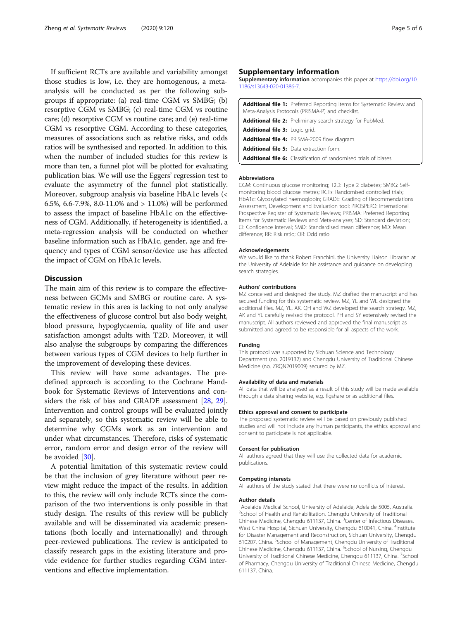<span id="page-4-0"></span>If sufficient RCTs are available and variability amongst those studies is low, i.e. they are homogenous, a metaanalysis will be conducted as per the following subgroups if appropriate: (a) real-time CGM vs SMBG; (b) resorptive CGM vs SMBG; (c) real-time CGM vs routine care; (d) resorptive CGM vs routine care; and (e) real-time CGM vs resorptive CGM. According to these categories, measures of associations such as relative risks, and odds ratios will be synthesised and reported. In addition to this, when the number of included studies for this review is more than ten, a funnel plot will be plotted for evaluating publication bias. We will use the Eggers' regression test to evaluate the asymmetry of the funnel plot statistically. Moreover, subgroup analysis via baseline HbA1c levels (< 6.5%, 6.6-7.9%, 8.0-11.0% and > 11.0%) will be performed to assess the impact of baseline HbA1c on the effectiveness of CGM. Additionally, if heterogeneity is identified, a meta-regression analysis will be conducted on whether baseline information such as HbA1c, gender, age and frequency and types of CGM sensor/device use has affected the impact of CGM on HbA1c levels.

#### **Discussion**

The main aim of this review is to compare the effectiveness between GCMs and SMBG or routine care. A systematic review in this area is lacking to not only analyse the effectiveness of glucose control but also body weight, blood pressure, hypoglycaemia, quality of life and user satisfaction amongst adults with T2D. Moreover, it will also analyse the subgroups by comparing the differences between various types of CGM devices to help further in the improvement of developing these devices.

This review will have some advantages. The predefined approach is according to the Cochrane Handbook for Systematic Reviews of Interventions and considers the risk of bias and GRADE assessment [\[28](#page-5-0), [29](#page-5-0)]. Intervention and control groups will be evaluated jointly and separately, so this systematic review will be able to determine why CGMs work as an intervention and under what circumstances. Therefore, risks of systematic error, random error and design error of the review will be avoided [[30](#page-5-0)].

A potential limitation of this systematic review could be that the inclusion of grey literature without peer review might reduce the impact of the results. In addition to this, the review will only include RCTs since the comparison of the two interventions is only possible in that study design. The results of this review will be publicly available and will be disseminated via academic presentations (both locally and internationally) and through peer-reviewed publications. The review is anticipated to classify research gaps in the existing literature and provide evidence for further studies regarding CGM interventions and effective implementation.

#### Supplementary information

Supplementary information accompanies this paper at [https://doi.org/10.](https://doi.org/10.1186/s13643-020-01386-7) [1186/s13643-020-01386-7](https://doi.org/10.1186/s13643-020-01386-7).

| <b>Additional file 1:</b> Preferred Reporting Items for Systematic Review and<br>Meta-Analysis Protocols (PRISMA-P) and checklist. |
|------------------------------------------------------------------------------------------------------------------------------------|
| Additional file 2: Preliminary search strategy for PubMed.                                                                         |
| Additional file 3: Logic grid.                                                                                                     |
| <b>Additional file 4: PRISMA-2009 flow diagram.</b>                                                                                |
| <b>Additional file 5:</b> Data extraction form.                                                                                    |
| <b>Additional file 6:</b> Classification of randomised trials of biases.                                                           |

#### Abbreviations

CGM: Continuous glucose monitoring; T2D: Type 2 diabetes; SMBG: Selfmonitoring blood glucose metres; RCTs: Randomised controlled trials; HbA1c: Glycosylated haemoglobin; GRADE: Grading of Recommendations Assessment, Development and Evaluation tool; PROSPERO: International Prospective Register of Systematic Reviews; PRISMA: Preferred Reporting Items for Systematic Reviews and Meta-analyses; SD: Standard deviation; CI: Confidence interval; SMD: Standardised mean difference; MD: Mean difference; RR: Risk ratio; OR: Odd ratio

#### Acknowledgements

We would like to thank Robert Franchini, the University Liaison Librarian at the University of Adelaide for his assistance and guidance on developing search strategies.

#### Authors' contributions

MZ conceived and designed the study. MZ drafted the manuscript and has secured funding for this systematic review. MZ, YL and WL designed the additional files. MZ, YL, AK, QH and WZ developed the search strategy. MZ, AK and YL carefully revised the protocol. PH and SY extensively revised the manuscript. All authors reviewed and approved the final manuscript as submitted and agreed to be responsible for all aspects of the work.

#### Funding

This protocol was supported by Sichuan Science and Technology Department (no. 2019132) and Chengdu University of Traditional Chinese Medicine (no. ZRQN2019009) secured by MZ.

#### Availability of data and materials

All data that will be analysed as a result of this study will be made available through a data sharing website, e.g. figshare or as additional files.

#### Ethics approval and consent to participate

The proposed systematic review will be based on previously published studies and will not include any human participants, the ethics approval and consent to participate is not applicable.

#### Consent for publication

All authors agreed that they will use the collected data for academic publications.

#### Competing interests

All authors of the study stated that there were no conflicts of interest.

#### Author details

<sup>1</sup> Adelaide Medical School, University of Adelaide, Adelaide 5005, Australia. <sup>2</sup>School of Health and Rehabilitation, Chengdu University of Traditional Chinese Medicine, Chengdu 611137, China. <sup>3</sup>Center of Infectious Diseases, West China Hospital, Sichuan University, Chengdu 610041, China. <sup>4</sup>Institute for Disaster Management and Reconstruction, Sichuan University, Chengdu 610207, China. <sup>5</sup>School of Management, Chengdu University of Traditional Chinese Medicine, Chengdu 611137, China. <sup>6</sup>School of Nursing, Chengdu University of Traditional Chinese Medicine, Chengdu 611137, China. <sup>7</sup>School of Pharmacy, Chengdu University of Traditional Chinese Medicine, Chengdu 611137, China.